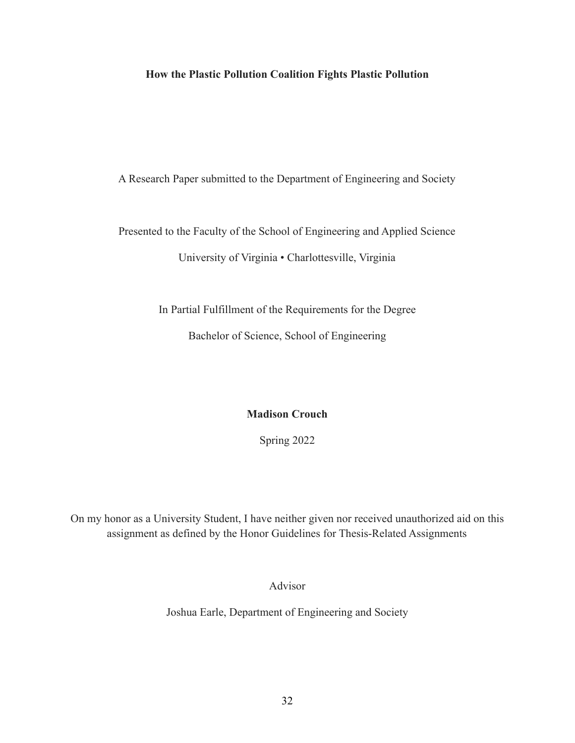# **How the Plastic Pollution Coalition Fights Plastic Pollution**

A Research Paper submitted to the Department of Engineering and Society

Presented to the Faculty of the School of Engineering and Applied Science

University of Virginia • Charlottesville, Virginia

In Partial Fulfillment of the Requirements for the Degree

Bachelor of Science, School of Engineering

**Madison Crouch**

Spring 2022

On my honor as a University Student, I have neither given nor received unauthorized aid on this assignment as defined by the Honor Guidelines for Thesis-Related Assignments

Advisor

Joshua Earle, Department of Engineering and Society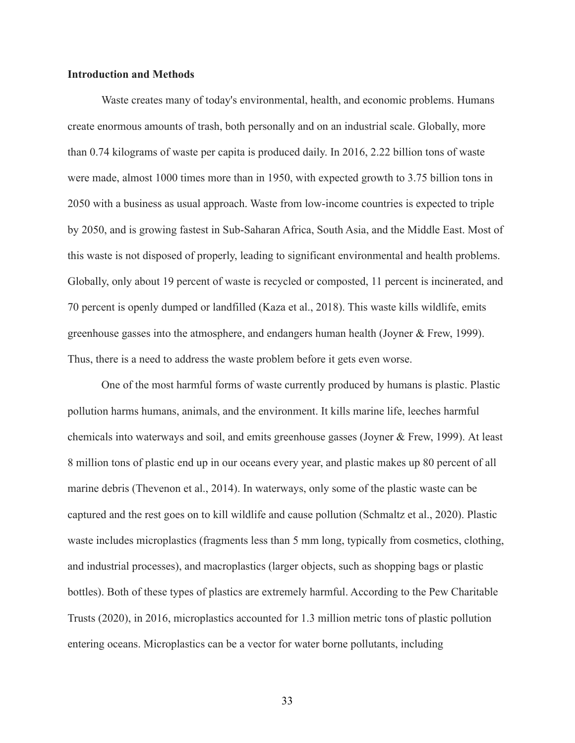# **Introduction and Methods**

Waste creates many of today's environmental, health, and economic problems. Humans create enormous amounts of trash, both personally and on an industrial scale. Globally, more than 0.74 kilograms of waste per capita is produced daily. In 2016, 2.22 billion tons of waste were made, almost 1000 times more than in 1950, with expected growth to 3.75 billion tons in 2050 with a business as usual approach. Waste from low-income countries is expected to triple by 2050, and is growing fastest in Sub-Saharan Africa, South Asia, and the Middle East. Most of this waste is not disposed of properly, leading to significant environmental and health problems. Globally, only about 19 percent of waste is recycled or composted, 11 percent is incinerated, and 70 percent is openly dumped or landfilled (Kaza et al., 2018). This waste kills wildlife, emits greenhouse gasses into the atmosphere, and endangers human health (Joyner & Frew, 1999). Thus, there is a need to address the waste problem before it gets even worse.

One of the most harmful forms of waste currently produced by humans is plastic. Plastic pollution harms humans, animals, and the environment. It kills marine life, leeches harmful chemicals into waterways and soil, and emits greenhouse gasses (Joyner & Frew, 1999). At least 8 million tons of plastic end up in our oceans every year, and plastic makes up 80 percent of all marine debris (Thevenon et al., 2014). In waterways, only some of the plastic waste can be captured and the rest goes on to kill wildlife and cause pollution (Schmaltz et al., 2020). Plastic waste includes microplastics (fragments less than 5 mm long, typically from cosmetics, clothing, and industrial processes), and macroplastics (larger objects, such as shopping bags or plastic bottles). Both of these types of plastics are extremely harmful. According to the Pew Charitable Trusts (2020), in 2016, microplastics accounted for 1.3 million metric tons of plastic pollution entering oceans. Microplastics can be a vector for water borne pollutants, including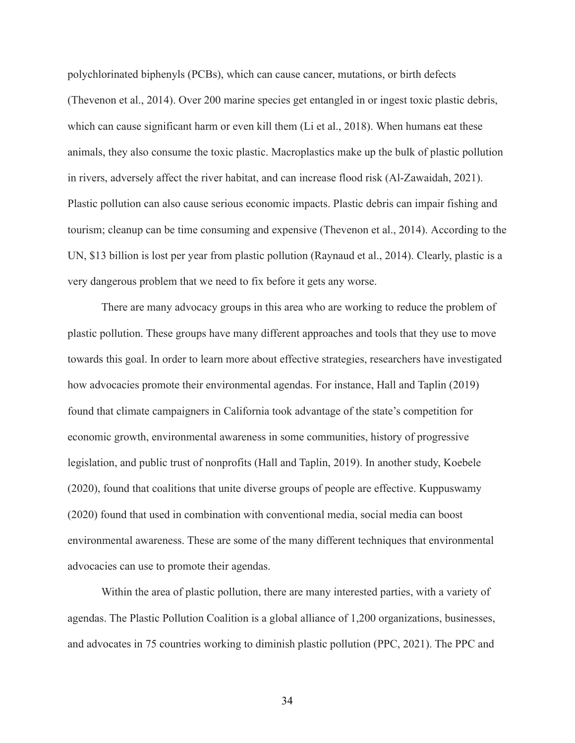polychlorinated biphenyls (PCBs), which can cause cancer, mutations, or birth defects (Thevenon et al., 2014). Over 200 marine species get entangled in or ingest toxic plastic debris, which can cause significant harm or even kill them (Li et al., 2018). When humans eat these animals, they also consume the toxic plastic. Macroplastics make up the bulk of plastic pollution in rivers, adversely affect the river habitat, and can increase flood risk (Al-Zawaidah, 2021). Plastic pollution can also cause serious economic impacts. Plastic debris can impair fishing and tourism; cleanup can be time consuming and expensive (Thevenon et al., 2014). According to the UN, \$13 billion is lost per year from plastic pollution (Raynaud et al., 2014). Clearly, plastic is a very dangerous problem that we need to fix before it gets any worse.

There are many advocacy groups in this area who are working to reduce the problem of plastic pollution. These groups have many different approaches and tools that they use to move towards this goal. In order to learn more about effective strategies, researchers have investigated how advocacies promote their environmental agendas. For instance, Hall and Taplin (2019) found that climate campaigners in California took advantage of the state's competition for economic growth, environmental awareness in some communities, history of progressive legislation, and public trust of nonprofits (Hall and Taplin, 2019). In another study, Koebele (2020), found that coalitions that unite diverse groups of people are effective. Kuppuswamy (2020) found that used in combination with conventional media, social media can boost environmental awareness. These are some of the many different techniques that environmental advocacies can use to promote their agendas.

Within the area of plastic pollution, there are many interested parties, with a variety of agendas. The Plastic Pollution Coalition is a global alliance of 1,200 organizations, businesses, and advocates in 75 countries working to diminish plastic pollution (PPC, 2021). The PPC and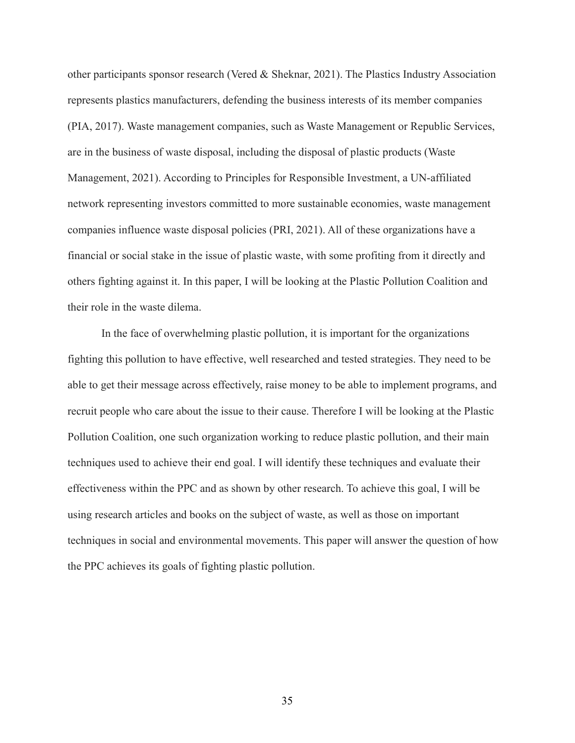other participants sponsor research (Vered & Sheknar, 2021). The Plastics Industry Association represents plastics manufacturers, defending the business interests of its member companies (PIA, 2017). Waste management companies, such as Waste Management or Republic Services, are in the business of waste disposal, including the disposal of plastic products (Waste Management, 2021). According to Principles for Responsible Investment, a UN-affiliated network representing investors committed to more sustainable economies, waste management companies influence waste disposal policies (PRI, 2021). All of these organizations have a financial or social stake in the issue of plastic waste, with some profiting from it directly and others fighting against it. In this paper, I will be looking at the Plastic Pollution Coalition and their role in the waste dilema.

In the face of overwhelming plastic pollution, it is important for the organizations fighting this pollution to have effective, well researched and tested strategies. They need to be able to get their message across effectively, raise money to be able to implement programs, and recruit people who care about the issue to their cause. Therefore I will be looking at the Plastic Pollution Coalition, one such organization working to reduce plastic pollution, and their main techniques used to achieve their end goal. I will identify these techniques and evaluate their effectiveness within the PPC and as shown by other research. To achieve this goal, I will be using research articles and books on the subject of waste, as well as those on important techniques in social and environmental movements. This paper will answer the question of how the PPC achieves its goals of fighting plastic pollution.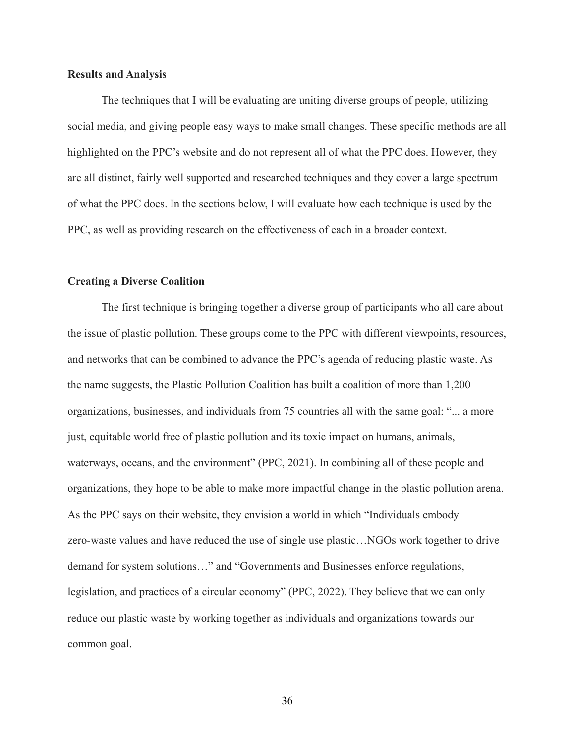# **Results and Analysis**

The techniques that I will be evaluating are uniting diverse groups of people, utilizing social media, and giving people easy ways to make small changes. These specific methods are all highlighted on the PPC's website and do not represent all of what the PPC does. However, they are all distinct, fairly well supported and researched techniques and they cover a large spectrum of what the PPC does. In the sections below, I will evaluate how each technique is used by the PPC, as well as providing research on the effectiveness of each in a broader context.

# **Creating a Diverse Coalition**

The first technique is bringing together a diverse group of participants who all care about the issue of plastic pollution. These groups come to the PPC with different viewpoints, resources, and networks that can be combined to advance the PPC's agenda of reducing plastic waste. As the name suggests, the Plastic Pollution Coalition has built a coalition of more than 1,200 organizations, businesses, and individuals from 75 countries all with the same goal: "... a more just, equitable world free of plastic pollution and its toxic impact on humans, animals, waterways, oceans, and the environment" (PPC, 2021). In combining all of these people and organizations, they hope to be able to make more impactful change in the plastic pollution arena. As the PPC says on their website, they envision a world in which "Individuals embody zero-waste values and have reduced the use of single use plastic…NGOs work together to drive demand for system solutions…" and "Governments and Businesses enforce regulations, legislation, and practices of a circular economy" (PPC, 2022). They believe that we can only reduce our plastic waste by working together as individuals and organizations towards our common goal.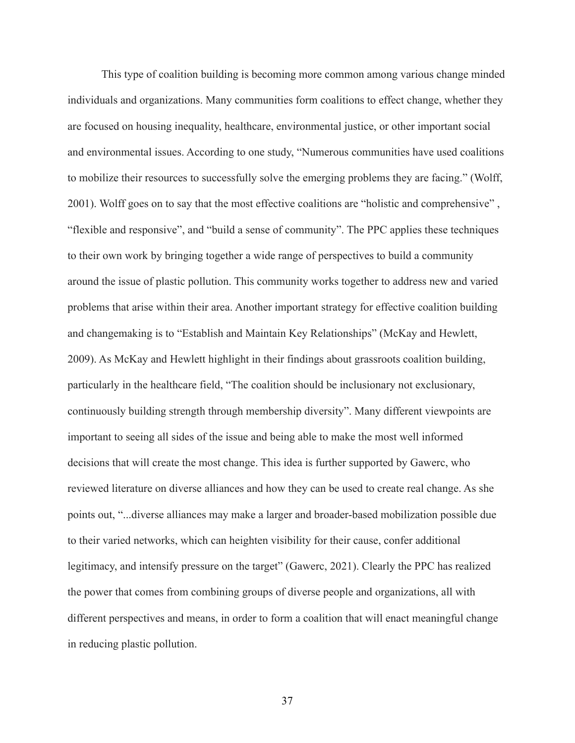This type of coalition building is becoming more common among various change minded individuals and organizations. Many communities form coalitions to effect change, whether they are focused on housing inequality, healthcare, environmental justice, or other important social and environmental issues. According to one study, "Numerous communities have used coalitions to mobilize their resources to successfully solve the emerging problems they are facing." (Wolff, 2001). Wolff goes on to say that the most effective coalitions are "holistic and comprehensive" , "flexible and responsive", and "build a sense of community". The PPC applies these techniques to their own work by bringing together a wide range of perspectives to build a community around the issue of plastic pollution. This community works together to address new and varied problems that arise within their area. Another important strategy for effective coalition building and changemaking is to "Establish and Maintain Key Relationships" (McKay and Hewlett, 2009). As McKay and Hewlett highlight in their findings about grassroots coalition building, particularly in the healthcare field, "The coalition should be inclusionary not exclusionary, continuously building strength through membership diversity". Many different viewpoints are important to seeing all sides of the issue and being able to make the most well informed decisions that will create the most change. This idea is further supported by Gawerc, who reviewed literature on diverse alliances and how they can be used to create real change. As she points out, "...diverse alliances may make a larger and broader-based mobilization possible due to their varied networks, which can heighten visibility for their cause, confer additional legitimacy, and intensify pressure on the target" (Gawerc, 2021). Clearly the PPC has realized the power that comes from combining groups of diverse people and organizations, all with different perspectives and means, in order to form a coalition that will enact meaningful change in reducing plastic pollution.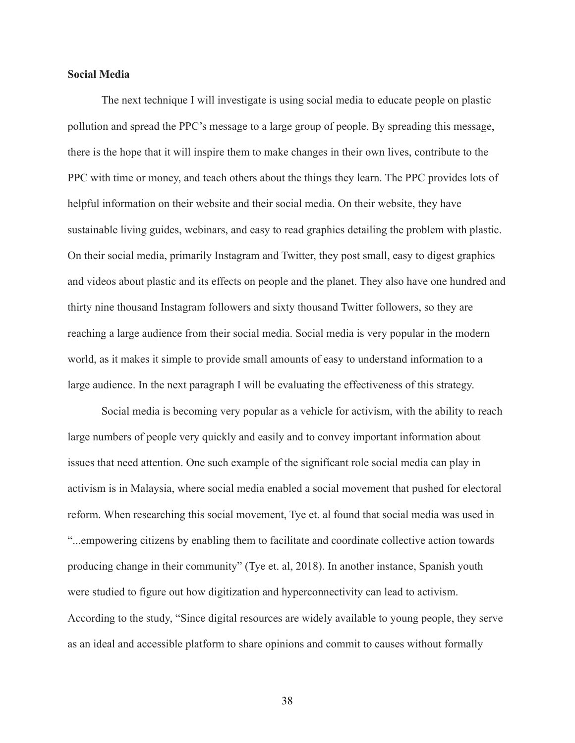# **Social Media**

The next technique I will investigate is using social media to educate people on plastic pollution and spread the PPC's message to a large group of people. By spreading this message, there is the hope that it will inspire them to make changes in their own lives, contribute to the PPC with time or money, and teach others about the things they learn. The PPC provides lots of helpful information on their website and their social media. On their website, they have sustainable living guides, webinars, and easy to read graphics detailing the problem with plastic. On their social media, primarily Instagram and Twitter, they post small, easy to digest graphics and videos about plastic and its effects on people and the planet. They also have one hundred and thirty nine thousand Instagram followers and sixty thousand Twitter followers, so they are reaching a large audience from their social media. Social media is very popular in the modern world, as it makes it simple to provide small amounts of easy to understand information to a large audience. In the next paragraph I will be evaluating the effectiveness of this strategy.

Social media is becoming very popular as a vehicle for activism, with the ability to reach large numbers of people very quickly and easily and to convey important information about issues that need attention. One such example of the significant role social media can play in activism is in Malaysia, where social media enabled a social movement that pushed for electoral reform. When researching this social movement, Tye et. al found that social media was used in "...empowering citizens by enabling them to facilitate and coordinate collective action towards producing change in their community" (Tye et. al, 2018). In another instance, Spanish youth were studied to figure out how digitization and hyperconnectivity can lead to activism. According to the study, "Since digital resources are widely available to young people, they serve as an ideal and accessible platform to share opinions and commit to causes without formally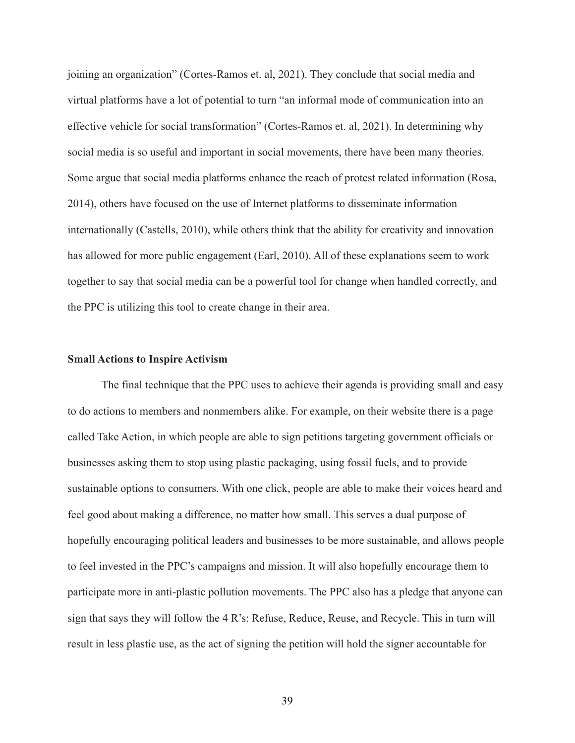joining an organization" (Cortes-Ramos et. al, 2021). They conclude that social media and virtual platforms have a lot of potential to turn "an informal mode of communication into an effective vehicle for social transformation" (Cortes-Ramos et. al, 2021). In determining why social media is so useful and important in social movements, there have been many theories. Some argue that social media platforms enhance the reach of protest related information (Rosa, 2014), others have focused on the use of Internet platforms to disseminate information internationally (Castells, 2010), while others think that the ability for creativity and innovation has allowed for more public engagement (Earl, 2010). All of these explanations seem to work together to say that social media can be a powerful tool for change when handled correctly, and the PPC is utilizing this tool to create change in their area.

#### **Small Actions to Inspire Activism**

The final technique that the PPC uses to achieve their agenda is providing small and easy to do actions to members and nonmembers alike. For example, on their website there is a page called Take Action, in which people are able to sign petitions targeting government officials or businesses asking them to stop using plastic packaging, using fossil fuels, and to provide sustainable options to consumers. With one click, people are able to make their voices heard and feel good about making a difference, no matter how small. This serves a dual purpose of hopefully encouraging political leaders and businesses to be more sustainable, and allows people to feel invested in the PPC's campaigns and mission. It will also hopefully encourage them to participate more in anti-plastic pollution movements. The PPC also has a pledge that anyone can sign that says they will follow the 4 R's: Refuse, Reduce, Reuse, and Recycle. This in turn will result in less plastic use, as the act of signing the petition will hold the signer accountable for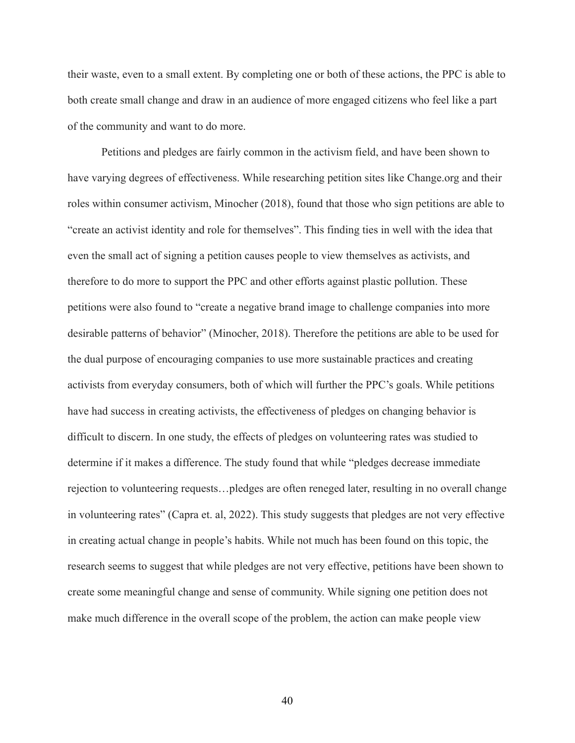their waste, even to a small extent. By completing one or both of these actions, the PPC is able to both create small change and draw in an audience of more engaged citizens who feel like a part of the community and want to do more.

Petitions and pledges are fairly common in the activism field, and have been shown to have varying degrees of effectiveness. While researching petition sites like Change.org and their roles within consumer activism, Minocher (2018), found that those who sign petitions are able to "create an activist identity and role for themselves". This finding ties in well with the idea that even the small act of signing a petition causes people to view themselves as activists, and therefore to do more to support the PPC and other efforts against plastic pollution. These petitions were also found to "create a negative brand image to challenge companies into more desirable patterns of behavior" (Minocher, 2018). Therefore the petitions are able to be used for the dual purpose of encouraging companies to use more sustainable practices and creating activists from everyday consumers, both of which will further the PPC's goals. While petitions have had success in creating activists, the effectiveness of pledges on changing behavior is difficult to discern. In one study, the effects of pledges on volunteering rates was studied to determine if it makes a difference. The study found that while "pledges decrease immediate rejection to volunteering requests…pledges are often reneged later, resulting in no overall change in volunteering rates" (Capra et. al, 2022). This study suggests that pledges are not very effective in creating actual change in people's habits. While not much has been found on this topic, the research seems to suggest that while pledges are not very effective, petitions have been shown to create some meaningful change and sense of community. While signing one petition does not make much difference in the overall scope of the problem, the action can make people view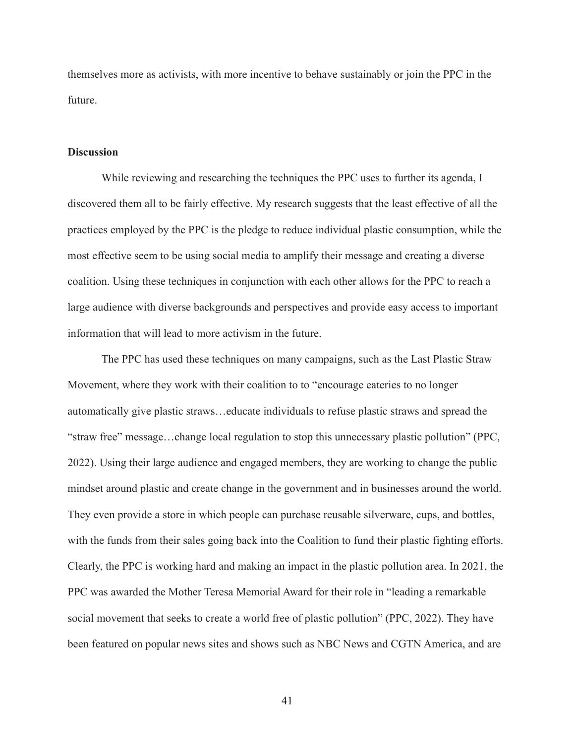themselves more as activists, with more incentive to behave sustainably or join the PPC in the future.

#### **Discussion**

While reviewing and researching the techniques the PPC uses to further its agenda, I discovered them all to be fairly effective. My research suggests that the least effective of all the practices employed by the PPC is the pledge to reduce individual plastic consumption, while the most effective seem to be using social media to amplify their message and creating a diverse coalition. Using these techniques in conjunction with each other allows for the PPC to reach a large audience with diverse backgrounds and perspectives and provide easy access to important information that will lead to more activism in the future.

The PPC has used these techniques on many campaigns, such as the Last Plastic Straw Movement, where they work with their coalition to to "encourage eateries to no longer automatically give plastic straws…educate individuals to refuse plastic straws and spread the "straw free" message…change local regulation to stop this unnecessary plastic pollution" (PPC, 2022). Using their large audience and engaged members, they are working to change the public mindset around plastic and create change in the government and in businesses around the world. They even provide a store in which people can purchase reusable silverware, cups, and bottles, with the funds from their sales going back into the Coalition to fund their plastic fighting efforts. Clearly, the PPC is working hard and making an impact in the plastic pollution area. In 2021, the PPC was awarded the Mother Teresa Memorial Award for their role in "leading a remarkable social movement that seeks to create a world free of plastic pollution" (PPC, 2022). They have been featured on popular news sites and shows such as NBC News and CGTN America, and are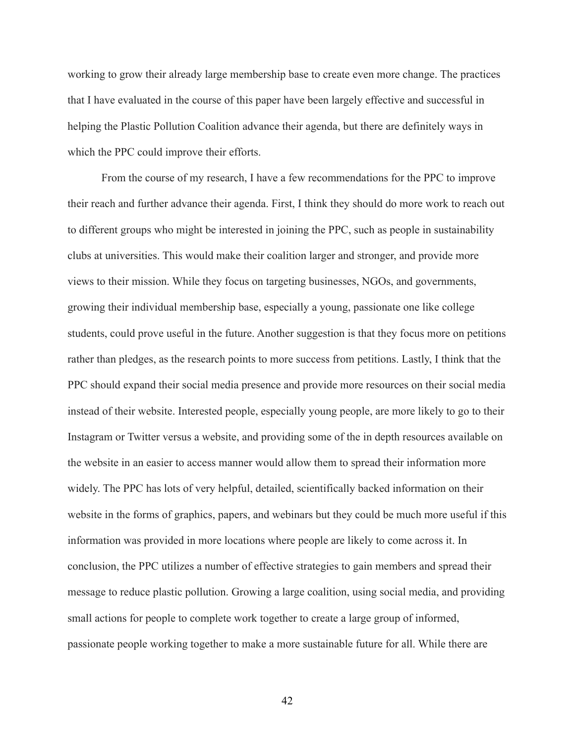working to grow their already large membership base to create even more change. The practices that I have evaluated in the course of this paper have been largely effective and successful in helping the Plastic Pollution Coalition advance their agenda, but there are definitely ways in which the PPC could improve their efforts.

From the course of my research, I have a few recommendations for the PPC to improve their reach and further advance their agenda. First, I think they should do more work to reach out to different groups who might be interested in joining the PPC, such as people in sustainability clubs at universities. This would make their coalition larger and stronger, and provide more views to their mission. While they focus on targeting businesses, NGOs, and governments, growing their individual membership base, especially a young, passionate one like college students, could prove useful in the future. Another suggestion is that they focus more on petitions rather than pledges, as the research points to more success from petitions. Lastly, I think that the PPC should expand their social media presence and provide more resources on their social media instead of their website. Interested people, especially young people, are more likely to go to their Instagram or Twitter versus a website, and providing some of the in depth resources available on the website in an easier to access manner would allow them to spread their information more widely. The PPC has lots of very helpful, detailed, scientifically backed information on their website in the forms of graphics, papers, and webinars but they could be much more useful if this information was provided in more locations where people are likely to come across it. In conclusion, the PPC utilizes a number of effective strategies to gain members and spread their message to reduce plastic pollution. Growing a large coalition, using social media, and providing small actions for people to complete work together to create a large group of informed, passionate people working together to make a more sustainable future for all. While there are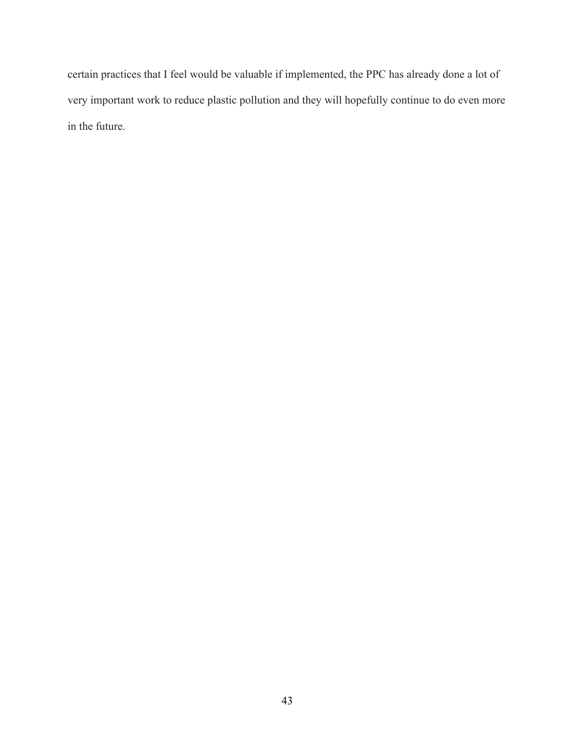certain practices that I feel would be valuable if implemented, the PPC has already done a lot of very important work to reduce plastic pollution and they will hopefully continue to do even more in the future.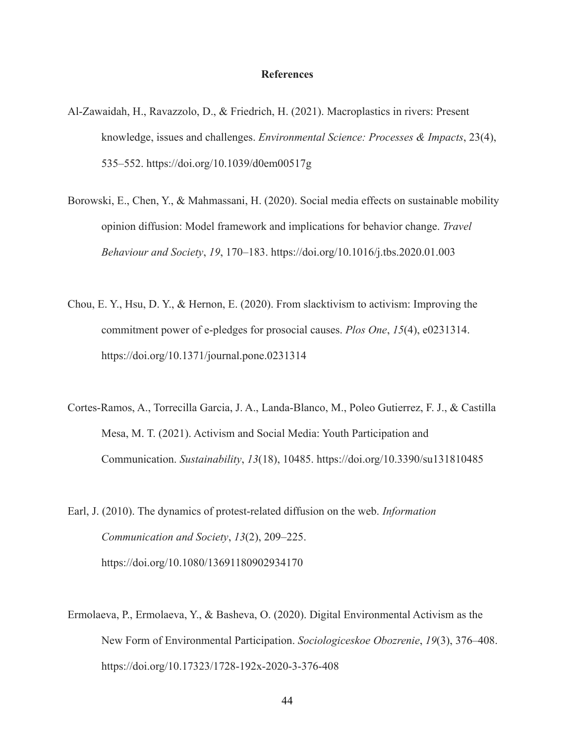#### **References**

- Al-Zawaidah, H., Ravazzolo, D., & Friedrich, H. (2021). Macroplastics in rivers: Present knowledge, issues and challenges. *Environmental Science: Processes & Impacts*, 23(4), 535–552. https://doi.org/10.1039/d0em00517g
- Borowski, E., Chen, Y., & Mahmassani, H. (2020). Social media effects on sustainable mobility opinion diffusion: Model framework and implications for behavior change. *Travel Behaviour and Society*, *19*, 170–183. <https://doi.org/10.1016/j.tbs.2020.01.003>
- Chou, E. Y., Hsu, D. Y., & Hernon, E. (2020). From slacktivism to activism: Improving the commitment power of e-pledges for prosocial causes. *Plos One*, *15*(4), e0231314. <https://doi.org/10.1371/journal.pone.0231314>
- Cortes-Ramos, A., Torrecilla Garcia, J. A., Landa-Blanco, M., Poleo Gutierrez, F. J., & Castilla Mesa, M. T. (2021). Activism and Social Media: Youth Participation and Communication. *Sustainability*, *13*(18), 10485. <https://doi.org/10.3390/su131810485>
- Earl, J. (2010). The dynamics of protest-related diffusion on the web. *Information Communication and Society*, *13*(2), 209–225[.](https://doi.org/10.1080/13691180902934170) <https://doi.org/10.1080/13691180902934170>
- Ermolaeva, P., Ermolaeva, Y., & Basheva, O. (2020). Digital Environmental Activism as the New Form of Environmental Participation. *Sociologiceskoe Obozrenie*, *19*(3), 376–408[.](https://doi.org/10.17323/1728-192x-2020-3-376-408) <https://doi.org/10.17323/1728-192x-2020-3-376-408>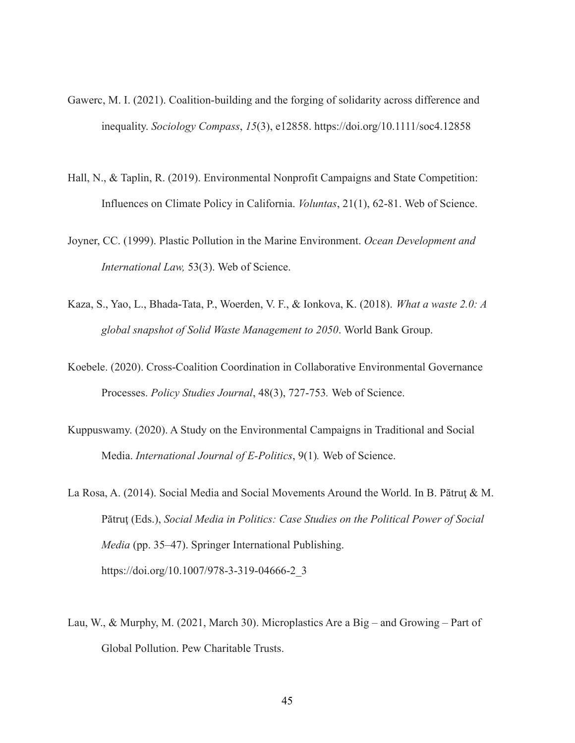- Gawerc, M. I. (2021). Coalition-building and the forging of solidarity across difference and inequality. *Sociology Compass*, *15*(3), e12858. <https://doi.org/10.1111/soc4.12858>
- Hall, N., & Taplin, R. (2019). Environmental Nonprofit Campaigns and State Competition: Influences on Climate Policy in California. *Voluntas*, 21(1), 62-81. Web of Science.
- Joyner, CC. (1999). Plastic Pollution in the Marine Environment. *Ocean Development and International Law,* 53(3). Web of Science.
- Kaza, S., Yao, L., Bhada-Tata, P., Woerden, V. F., & Ionkova, K. (2018). *What a waste 2.0: A global snapshot of Solid Waste Management to 2050*. World Bank Group.
- Koebele. (2020). Cross-Coalition Coordination in Collaborative Environmental Governance Processes. *Policy Studies Journal*, 48(3), 727-753*.* Web of Science.
- Kuppuswamy. (2020). A Study on the Environmental Campaigns in Traditional and Social Media. *International Journal of E-Politics*, 9(1)*.* Web of Science.
- La Rosa, A. (2014). Social Media and Social Movements Around the World. In B. Pătruţ & M. Pătruţ (Eds.), *Social Media in Politics: Case Studies on the Political Power of Social Media* (pp. 35–47). Springer International Publishing. [https://doi.org/10.1007/978-3-319-04666-2\\_3](https://doi.org/10.1007/978-3-319-04666-2_3)
- Lau, W., & Murphy, M. (2021, March 30). Microplastics Are a Big and Growing Part of Global Pollution. Pew Charitable Trusts.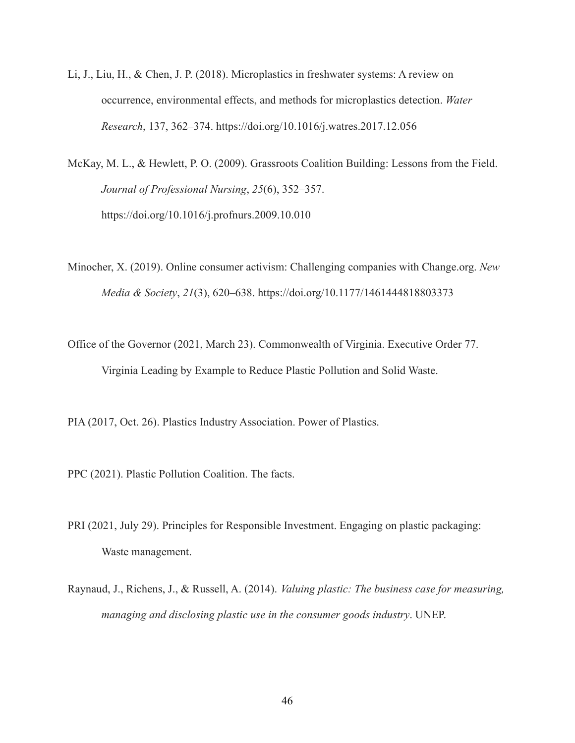- Li, J., Liu, H., & Chen, J. P. (2018). Microplastics in freshwater systems: A review on occurrence, environmental effects, and methods for microplastics detection. *Water Research*, 137, 362–374. https://doi.org/10.1016/j.watres.2017.12.056
- McKay, M. L., & Hewlett, P. O. (2009). Grassroots Coalition Building: Lessons from the Field. *Journal of Professional Nursing*, *25*(6), 352–357. <https://doi.org/10.1016/j.profnurs.2009.10.010>
- Minocher, X. (2019). Online consumer activism: Challenging companies with Change.org. *New Media & Society*, *21*(3), 620–638. <https://doi.org/10.1177/1461444818803373>
- Office of the Governor (2021, March 23). Commonwealth of Virginia. Executive Order 77. Virginia Leading by Example to Reduce Plastic Pollution and Solid Waste.
- PIA (2017, Oct. 26). Plastics Industry Association. Power of Plastics.
- PPC (2021). Plastic Pollution Coalition. The facts.
- PRI (2021, July 29). Principles for Responsible Investment. Engaging on plastic packaging: Waste management.
- Raynaud, J., Richens, J., & Russell, A. (2014). *Valuing plastic: The business case for measuring, managing and disclosing plastic use in the consumer goods industry*. UNEP.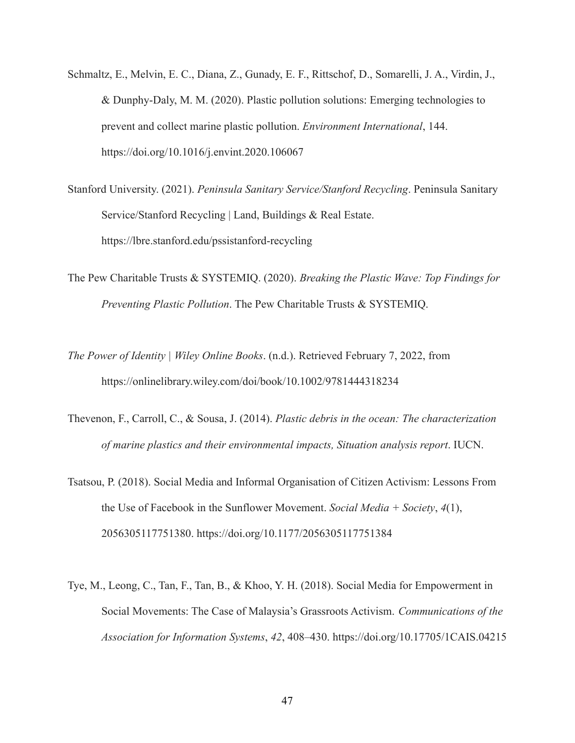- Schmaltz, E., Melvin, E. C., Diana, Z., Gunady, E. F., Rittschof, D., Somarelli, J. A., Virdin, J., & Dunphy-Daly, M. M. (2020). Plastic pollution solutions: Emerging technologies to prevent and collect marine plastic pollution. *Environment International*, 144. https://doi.org/10.1016/j.envint.2020.106067
- Stanford University. (2021). *Peninsula Sanitary Service/Stanford Recycling*. Peninsula Sanitary Service/Stanford Recycling | Land, Buildings & Real Estate. <https://lbre.stanford.edu/pssistanford-recycling>
- The Pew Charitable Trusts & SYSTEMIQ. (2020). *Breaking the Plastic Wave: Top Findings for Preventing Plastic Pollution*. The Pew Charitable Trusts & SYSTEMIQ.
- *The Power of Identity | Wiley Online Books*. (n.d.). Retrieved February 7, 2022, from <https://onlinelibrary.wiley.com/doi/book/10.1002/9781444318234>
- Thevenon, F., Carroll, C., & Sousa, J. (2014). *Plastic debris in the ocean: The characterization of marine plastics and their environmental impacts, Situation analysis report*. IUCN.
- Tsatsou, P. (2018). Social Media and Informal Organisation of Citizen Activism: Lessons From the Use of Facebook in the Sunflower Movement. *Social Media + Society*, *4*(1), 2056305117751380. <https://doi.org/10.1177/2056305117751384>
- Tye, M., Leong, C., Tan, F., Tan, B., & Khoo, Y. H. (2018). Social Media for Empowerment in Social Movements: The Case of Malaysia's Grassroots Activism. *Communications of the Association for Information Systems*, *42*, 408–430. <https://doi.org/10.17705/1CAIS.04215>